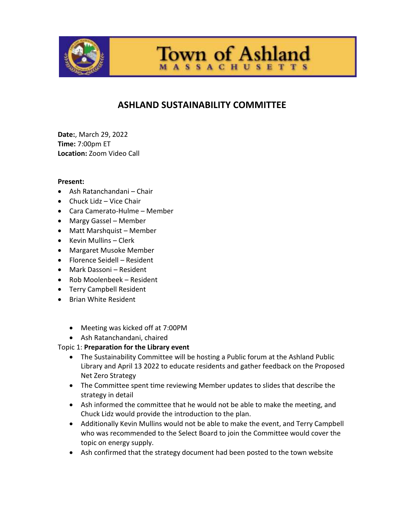

**Town of Ashland SSACHUSETTS** 

## **ASHLAND SUSTAINABILITY COMMITTEE**

**Date:**, March 29, 2022 **Time:** 7:00pm ET **Location:** Zoom Video Call

## **Present:**

- Ash Ratanchandani Chair
- Chuck Lidz Vice Chair
- Cara Camerato-Hulme Member
- Margy Gassel Member
- Matt Marshquist Member
- Kevin Mullins Clerk
- Margaret Musoke Member
- Florence Seidell Resident
- Mark Dassoni Resident
- Rob Moolenbeek Resident
- **•** Terry Campbell Resident
- Brian White Resident
	- Meeting was kicked off at 7:00PM
	- Ash Ratanchandani, chaired

## Topic 1: **Preparation for the Library event**

- The Sustainability Committee will be hosting a Public forum at the Ashland Public Library and April 13 2022 to educate residents and gather feedback on the Proposed Net Zero Strategy
- The Committee spent time reviewing Member updates to slides that describe the strategy in detail
- Ash informed the committee that he would not be able to make the meeting, and Chuck Lidz would provide the introduction to the plan.
- Additionally Kevin Mullins would not be able to make the event, and Terry Campbell who was recommended to the Select Board to join the Committee would cover the topic on energy supply.
- Ash confirmed that the strategy document had been posted to the town website